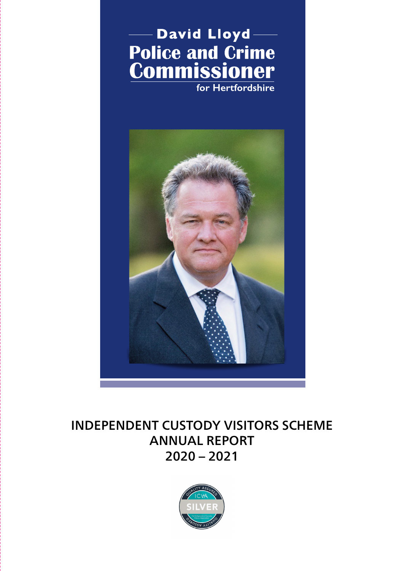



# INDEPENDENT CUSTODY VISITORS SCHEME ANNUAL REPORT 2020 – 2021

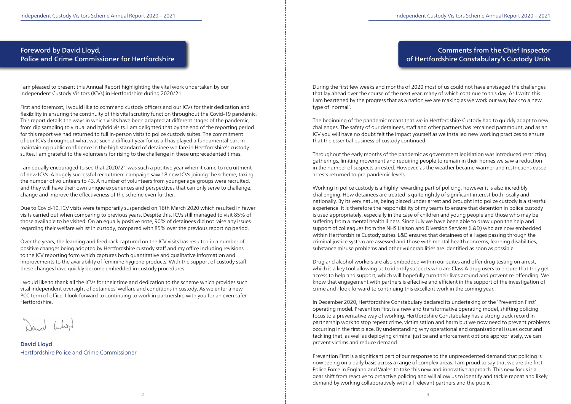## Foreword by David Lloyd, Police and Crime Commissioner for Hertfordshire

I am pleased to present this Annual Report highlighting the vital work undertaken by our Independent Custody Visitors (ICVs) in Hertfordshire during 2020/21.

First and foremost, I would like to commend custody officers and our ICVs for their dedication and flexibility in ensuring the continuity of this vital scrutiny function throughout the Covid-19 pandemic. This report details the ways in which visits have been adapted at different stages of the pandemic, from dip sampling to virtual and hybrid visits. I am delighted that by the end of the reporting period for this report we had returned to full in-person visits to police custody suites. The commitment of our ICVs throughout what was such a difficult year for us all has played a fundamental part in maintaining public confidence in the high standard of detainee welfare in Hertfordshire's custody suites. I am grateful to the volunteers for rising to the challenge in these unprecedented times.

I am equally encouraged to see that 2020/21 was such a positive year when it came to recruitment of new ICVs. A hugely successful recruitment campaign saw 18 new ICVs joining the scheme, taking the number of volunteers to 43. A number of volunteers from younger age groups were recruited, and they will have their own unique experiences and perspectives that can only serve to challenge, change and improve the effectiveness of the scheme even further.

Due to Covid-19, ICV visits were temporarily suspended on 16th March 2020 which resulted in fewer visits carried out when comparing to previous years. Despite this, ICVs still managed to visit 85% of those available to be visited. On an equally positive note, 90% of detainees did not raise any issues regarding their welfare whilst in custody, compared with 85% over the previous reporting period.

Over the years, the learning and feedback captured on the ICV visits has resulted in a number of positive changes being adopted by Hertfordshire custody staff and my office including revisions to the ICV reporting form which captures both quantitative and qualitative information and improvements to the availability of feminine hygiene products. With the support of custody staff, these changes have quickly become embedded in custody procedures.

I would like to thank all the ICVs for their time and dedication to the scheme which provides such vital independent oversight of detainees' welfare and conditions in custody. As we enter a new PCC term of office, I look forward to continuing to work in partnership with you for an even safer Hertfordshire.

David Lloyd Hertfordshire Police and Crime Commissioner

## Comments from the Chief Inspector of Hertfordshire Constabulary's Custody Units

During the first few weeks and months of 2020 most of us could not have envisaged the challenges that lay ahead over the course of the next year, many of which continue to this day. As I write this I am heartened by the progress that as a nation we are making as we work our way back to a new type of 'normal'.

The beginning of the pandemic meant that we in Hertfordshire Custody had to quickly adapt to new challenges. The safety of our detainees, staff and other partners has remained paramount, and as an ICV you will have no doubt felt the impact yourself as we installed new working practices to ensure that the essential business of custody continued.

Throughout the early months of the pandemic as government legislation was introduced restricting gatherings, limiting movement and requiring people to remain in their homes we saw a reduction in the number of suspects arrested. However, as the weather became warmer and restrictions eased arrests returned to pre-pandemic levels.

Working in police custody is a highly rewarding part of policing, however it is also incredibly challenging. How detainees are treated is quite rightly of significant interest both locally and nationally. By its very nature, being placed under arrest and brought into police custody is a stressful experience. It is therefore the responsibility of my teams to ensure that detention in police custody is used appropriately, especially in the case of children and young people and those who may be suffering from a mental health illness. Since July we have been able to draw upon the help and support of colleagues from the NHS Liaison and Diversion Services (L&D) who are now embedded within Hertfordshire Custody suites. L&D ensures that detainees of all ages passing through the criminal justice system are assessed and those with mental health concerns, learning disabilities, substance misuse problems and other vulnerabilities are identified as soon as possible.

Drug and alcohol workers are also embedded within our suites and offer drug testing on arrest, which is a key tool allowing us to identify suspects who are Class A drug users to ensure that they get access to help and support, which will hopefully turn their lives around and prevent re-offending. We know that engagement with partners is effective and efficient in the support of the investigation of crime and I look forward to continuing this excellent work in the coming year.

In December 2020, Hertfordshire Constabulary declared its undertaking of the 'Prevention First' operating model. Prevention First is a new and transformative operating model, shifting policing focus to a preventative way of working. Hertfordshire Constabulary has a strong track record in partnership work to stop repeat crime, victimisation and harm but we now need to prevent problems occurring in the first place. By understanding why operational and organisational issues occur and tackling that, as well as deploying criminal justice and enforcement options appropriately, we can prevent victims and reduce demand.

Prevention First is a significant part of our response to the unprecedented demand that policing is now seeing on a daily basis across a range of complex areas. I am proud to say that we are the first Police Force in England and Wales to take this new and innovative approach. This new focus is a gear shift from reactive to proactive policing and will allow us to identify and tackle repeat and likely demand by working collaboratively with all relevant partners and the public.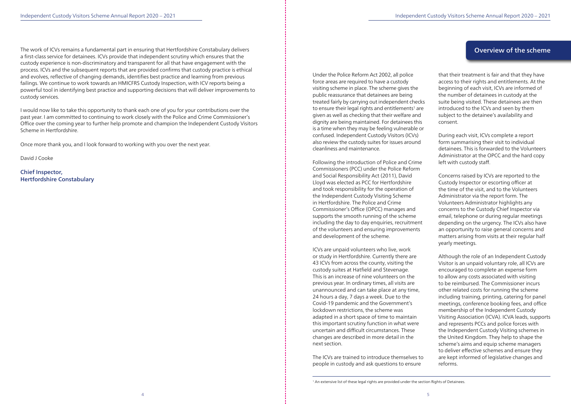The work of ICVs remains a fundamental part in ensuring that Hertfordshire Constabulary delivers a first-class service for detainees. ICVs provide that independent scrutiny which ensures that the custody experience is non-discriminatory and transparent for all that have engagement with the process. ICVs and the subsequent reports that are provided confirms that custody practice is ethical and evolves, reflective of changing demands, identifies best practice and learning from previous failings. We continue to work towards an HMICFRS Custody Inspection, with ICV reports being a powerful tool in identifying best practice and supporting decisions that will deliver improvements to

custody services.

I would now like to take this opportunity to thank each one of you for your contributions over the past year. I am committed to continuing to work closely with the Police and Crime Commissioner's Office over the coming year to further help promote and champion the Independent Custody Visitors Scheme in Hertfordshire.

Once more thank you, and I look forward to working with you over the next year.

David J Cooke

Chief Inspector, Hertfordshire Constabulary Under the Police Reform Act 2002, all police force areas are required to have a custody visiting scheme in place. The scheme gives the public reassurance that detainees are being treated fairly by carrying out independent checks to ensure their legal rights and entitlements<sup>1</sup> are given as well as checking that their welfare and dignity are being maintained. For detainees this is a time when they may be feeling vulnerable or confused. Independent Custody Visitors (ICVs) also review the custody suites for issues around cleanliness and maintenance.

Following the introduction of Police and Crime Commissioners (PCC) under the Police Reform and Social Responsibility Act (2011), David Lloyd was elected as PCC for Hertfordshire and took responsibility for the operation of the Independent Custody Visiting Scheme in Hertfordshire. The Police and Crime Commissioner's Office (OPCC) manages and supports the smooth running of the scheme including the day to day enquiries, recruitment of the volunteers and ensuring improvements and development of the scheme.

ICVs are unpaid volunteers who live, work or study in Hertfordshire. Currently there are 43 ICVs from across the county, visiting the custody suites at Hatfield and Stevenage. This is an increase of nine volunteers on the previous year. In ordinary times, all visits are unannounced and can take place at any time, 24 hours a day, 7 days a week. Due to the Covid-19 pandemic and the Government's lockdown restrictions, the scheme was adapted in a short space of time to maintain this important scrutiny function in what were uncertain and difficult circumstances. These changes are described in more detail in the next section.

The ICVs are trained to introduce themselves to people in custody and ask questions to ensure

that their treatment is fair and that they have access to their rights and entitlements. At the beginning of each visit, ICVs are informed of the number of detainees in custody at the suite being visited. These detainees are then introduced to the ICVs and seen by them subject to the detainee's availability and consent.

During each visit, ICVs complete a report form summarising their visit to individual detainees. This is forwarded to the Volunteers Administrator at the OPCC and the hard copy left with custody staff.

Concerns raised by ICVs are reported to the Custody Inspector or escorting officer at the time of the visit, and to the Volunteers Administrator via the report form. The Volunteers Administrator highlights any concerns to the Custody Chief Inspector via email, telephone or during regular meetings depending on the urgency. The ICVs also have an opportunity to raise general concerns and matters arising from visits at their regular half yearly meetings.

Although the role of an Independent Custody Visitor is an unpaid voluntary role, all ICVs are encouraged to complete an expense form to allow any costs associated with visiting to be reimbursed. The Commissioner incurs other related costs for running the scheme including training, printing, catering for panel meetings, conference booking fees, and office membership of the Independent Custody Visiting Association (ICVA). ICVA leads, supports and represents PCCs and police forces with the Independent Custody Visiting schemes in the United Kingdom. They help to shape the scheme's aims and equip scheme managers to deliver effective schemes and ensure they are kept informed of legislative changes and reforms.

## Overview of the scheme

<sup>&</sup>lt;sup>1</sup> An extensive list of these legal rights are provided under the section Rights of Detainees.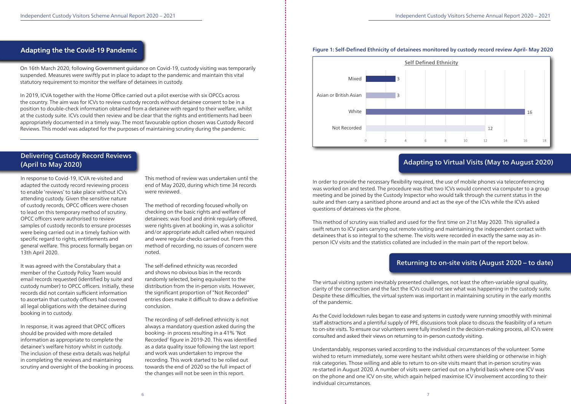## Figure 1: Self-Defined Ethnicity of detainees monitored by custody record review April- May 2020

## Adapting to Virtual Visits (May to August 2020)

In order to provide the necessary flexibility required, the use of mobile phones via teleconferencing was worked on and tested. The procedure was that two ICVs would connect via computer to a group meeting and be joined by the Custody Inspector who would talk through the current status in the suite and then carry a sanitised phone around and act as the eye of the ICVs while the ICVs asked questions of detainees via the phone.

This method of scrutiny was trialled and used for the first time on 21st May 2020. This signalled a swift return to ICV pairs carrying out remote visiting and maintaining the independent contact with detainees that is so integral to the scheme. The visits were recorded in exactly the same way as inperson ICV visits and the statistics collated are included in the main part of the report below.

## Returning to on-site visits (August 2020 – to date)

The virtual visiting system inevitably presented challenges, not least the often-variable signal quality, clarity of the connection and the fact the ICVs could not see what was happening in the custody suite. Despite these difficulties, the virtual system was important in maintaining scrutiny in the early months of the pandemic.

As the Covid lockdown rules began to ease and systems in custody were running smoothly with minimal staff abstractions and a plentiful supply of PPE, discussions took place to discuss the feasibility of a return to on-site visits. To ensure our volunteers were fully involved in the decision-making process, all ICVs were consulted and asked their views on returning to in-person custody visiting.

Understandably, responses varied according to the individual circumstances of the volunteer. Some wished to return immediately, some were hesitant whilst others were shielding or otherwise in high risk categories. Those willing and able to return to on-site visits meant that in-person scrutiny was re-started in August 2020. A number of visits were carried out on a hybrid basis where one ICV was on the phone and one ICV on-site, which again helped maximise ICV involvement according to their individual circumstances.

On 16th March 2020, following Government guidance on Covid-19, custody visiting was temporarily suspended. Measures were swiftly put in place to adapt to the pandemic and maintain this vital statutory requirement to monitor the welfare of detainees in custody.

In 2019, ICVA together with the Home Office carried out a pilot exercise with six OPCCs across the country. The aim was for ICVs to review custody records without detainee consent to be in a position to double-check information obtained from a detainee with regard to their welfare, whilst at the custody suite. ICVs could then review and be clear that the rights and entitlements had been appropriately documented in a timely way. The most favourable option chosen was Custody Record Reviews. This model was adapted for the purposes of maintaining scrutiny during the pandemic.



## Delivering Custody Record Reviews (April to May 2020)

In response to Covid-19, ICVA re-visited and adapted the custody record reviewing process to enable 'reviews' to take place without ICVs attending custody. Given the sensitive nature of custody records, OPCC officers were chosen to lead on this temporary method of scrutiny. OPCC officers were authorised to review samples of custody records to ensure processes were being carried out in a timely fashion with specific regard to rights, entitlements and general welfare. This process formally began on 13th April 2020.

It was agreed with the Constabulary that a member of the Custody Policy Team would email records requested (identified by suite and custody number) to OPCC officers. Initially, these records did not contain sufficient information to ascertain that custody officers had covered all legal obligations with the detainee during booking in to custody.

In response, it was agreed that OPCC officers should be provided with more detailed information as appropriate to complete the detainee's welfare history whilst in custody. The inclusion of these extra details was helpful in completing the reviews and maintaining scrutiny and oversight of the booking in process. This method of review was undertaken until the end of May 2020, during which time 34 records were reviewed.

The method of recording focused wholly on checking on the basic rights and welfare of detainees: was food and drink regularly offered, were rights given at booking in, was a solicitor and/or appropriate adult called when required and were regular checks carried out. From this method of recording, no issues of concern were noted.

The self-defined ethnicity was recorded and shows no obvious bias in the records randomly selected, being equivalent to the distribution from the in-person visits. However, the significant proportion of "Not Recorded" entries does make it difficult to draw a definitive conclusion.

The recording of self-defined ethnicity is not always a mandatory question asked during the booking- in process resulting in a 41% 'Not Recorded' figure in 2019-20. This was identified as a data quality issue following the last report and work was undertaken to improve the recording. This work started to be rolled out towards the end of 2020 so the full impact of the changes will not be seen in this report.



## Adapting the the Covid-19 Pandemic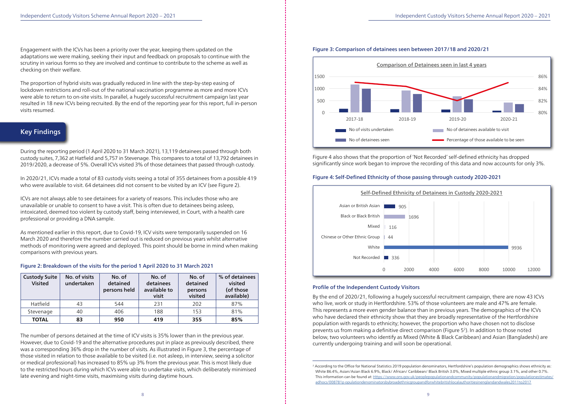

Figure 4 also shows that the proportion of 'Not Recorded' self-defined ethnicity has dropped significantly since work began to improve the recording of this data and now accounts for only 3%.

## Figure 4: Self-Defined Ethnicity of those passing through custody 2020-2021

By the end of 2020/21, following a hugely successful recruitment campaign, there are now 43 ICVs who live, work or study in Hertfordshire. 53% of those volunteers are male and 47% are female. This represents a more even gender balance than in previous years. The demographics of the ICVs who have declared their ethnicity show that they are broadly representative of the Hertfordshire population with regards to ethnicity; however, the proportion who have chosen not to disclose prevents us from making a definitive direct comparison (Figure 52). In addition to those noted below, two volunteers who identify as Mixed (White & Black Caribbean) and Asian (Bangladeshi) are currently undergoing training and will soon be operational.

Engagement with the ICVs has been a priority over the year, keeping them updated on the adaptations we were making, seeking their input and feedback on proposals to continue with the scrutiny in various forms so they are involved and continue to contribute to the scheme as well as checking on their welfare.

The proportion of hybrid visits was gradually reduced in line with the step-by-step easing of lockdown restrictions and roll-out of the national vaccination programme as more and more ICVs were able to return to on-site visits. In parallel, a hugely successful recruitment campaign last year resulted in 18 new ICVs being recruited. By the end of the reporting year for this report, full in-person visits resumed.

## Key Findings

During the reporting period (1 April 2020 to 31 March 2021), 13,119 detainees passed through both custody suites, 7,362 at Hatfield and 5,757 in Stevenage. This compares to a total of 13,792 detainees in 2019/2020, a decrease of 5%. Overall ICVs visited 3% of those detainees that passed through custody.

In 2020/21, ICVs made a total of 83 custody visits seeing a total of 355 detainees from a possible 419 who were available to visit. 64 detainees did not consent to be visited by an ICV (see Figure 2).

> <sup>2</sup> According to the Office for National Statistics 2019 population denominators, Hertfordshire's population demographics shows ethnicity as: This information can be found at: Https://www.ons.gov.uk/peoplepopulationandcommunity/populationandmigration/populationestimates/

ICVs are not always able to see detainees for a variety of reasons. This includes those who are unavailable or unable to consent to have a visit. This is often due to detainees being asleep, intoxicated, deemed too violent by custody staff, being interviewed, in Court, with a health care professional or providing a DNA sample.

As mentioned earlier in this report, due to Covid-19, ICV visits were temporarily suspended on 16 March 2020 and therefore the number carried out is reduced on previous years whilst alternative methods of monitoring were agreed and deployed. This point should be borne in mind when making comparisons with previous years.

#### Figure 2: Breakdown of the visits for the period 1 April 2020 to 31 March 2021

The number of persons detained at the time of ICV visits is 35% lower than in the previous year. However, due to Covid-19 and the alternative procedures put in place as previously described, there was a corresponding 36% drop in the number of visits. As illustrated in Figure 3, the percentage of those visited in relation to those available to be visited (i.e. not asleep, in interview, seeing a solicitor or medical professional) has increased to 85% up 3% from the previous year. This is most likely due to the restricted hours during which ICVs were able to undertake visits, which deliberately minimised late evening and night-time visits, maximising visits during daytime hours.





## Profile of the Independent Custody Visitors **Communist Constant Custody** Visitors

| <b>Custody Suite</b><br><b>Visited</b> | No. of visits<br>undertaken | No. of<br>detained<br>persons held | No. of<br>detainees<br>available to<br>visit | No. of<br>detained<br>persons<br>visited | % of detainees<br>visited<br>(of those<br>available) |
|----------------------------------------|-----------------------------|------------------------------------|----------------------------------------------|------------------------------------------|------------------------------------------------------|
| Hatfield                               | 43                          | 544                                | 231                                          | 202                                      | 87%                                                  |
| Stevenage                              | 40                          | 406                                | 188                                          | 153                                      | 81%                                                  |
| <b>TOTAL</b>                           | 83                          | 950                                | 419                                          | 355                                      | 85%                                                  |

White 86.4%, Asian/Asian Black 6.9%, Black/ African/ Caribbean/ Black British 3.0%, Mixed multiple ethnic group 3.1%, and other 0.7%. adhocs/008781p opulationdenominatorsbybroadethnicgroupandforwhitebritishlocalauthoritiesinenglandandwales2011to2017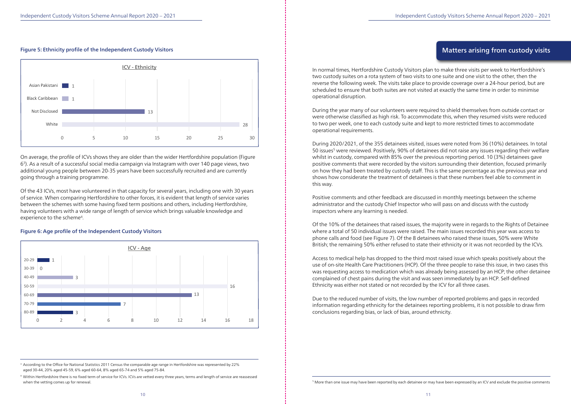#### Figure 5: Ethnicity profile of the Independent Custody Visitors

Of the 43 ICVs, most have volunteered in that capacity for several years, including one with 30 years of service. When comparing Hertfordshire to other forces, it is evident that length of service varies between the schemes with some having fixed term positions and others, including Hertfordshire, having volunteers with a wide range of length of service which brings valuable knowledge and experience to the scheme<sup>4</sup>.

On average, the profile of ICVs shows they are older than the wider Hertfordshire population (Figure 63). As a result of a successful social media campaign via Instagram with over 140 page views, two additional young people between 20-35 years have been successfully recruited and are currently going through a training programme.

#### Figure 6: Age profile of the Independent Custody Visitors

## Matters arising from custody visits

In normal times, Hertfordshire Custody Visitors plan to make three visits per week to Hertfordshire's two custody suites on a rota system of two visits to one suite and one visit to the other, then the reverse the following week. The visits take place to provide coverage over a 24-hour period, but are scheduled to ensure that both suites are not visited at exactly the same time in order to minimise operational disruption.

During the year many of our volunteers were required to shield themselves from outside contact or were otherwise classified as high risk. To accommodate this, when they resumed visits were reduced to two per week, one to each custody suite and kept to more restricted times to accommodate operational requirements.

<sup>3</sup> According to the Office for National Statistics 2011 Census the comparable age range in Hertfordshire was represented by 22% aged 30-44, 20% aged 45-59, 6% aged 60-64, 8% aged 65-74 and 5% aged 75-84.

During 2020/2021, of the 355 detainees visited, issues were noted from 36 (10%) detainees. In total 50 issues<sup>5</sup> were reviewed. Positively, 90% of detainees did not raise any issues regarding their welfare whilst in custody, compared with 85% over the previous reporting period. 10 (3%) detainees gave positive comments that were recorded by the visitors surrounding their detention, focused primarily on how they had been treated by custody staff. This is the same percentage as the previous year and shows how considerate the treatment of detainees is that these numbers feel able to comment in this way.

Positive comments and other feedback are discussed in monthly meetings between the scheme administrator and the custody Chief Inspector who will pass on and discuss with the custody inspectors where any learning is needed.

Of the 10% of the detainees that raised issues, the majority were in regards to the Rights of Detainee where a total of 50 individual issues were raised. The main issues recorded this year was access to phone calls and food (see Figure 7). Of the 8 detainees who raised these issues, 50% were White British; the remaining 50% either refused to state their ethnicity or it was not recorded by the ICVs.

Access to medical help has dropped to the third most raised issue which speaks positively about the use of on-site Health Care Practitioners (HCP). Of the three people to raise this issue, in two cases this was requesting access to medication which was already being assessed by an HCP; the other detainee complained of chest pains during the visit and was seen immediately by an HCP. Self-defined Ethnicity was either not stated or not recorded by the ICV for all three cases.

Due to the reduced number of visits, the low number of reported problems and gaps in recorded information regarding ethnicity for the detainees reporting problems, it is not possible to draw firm conclusions regarding bias, or lack of bias, around ethnicity.

<sup>4</sup> Within Hertfordshire there is no fixed term of service for ICVs. ICVs are vetted every three years, terms and length of service are reassessed when the vetting comes up for renewal.



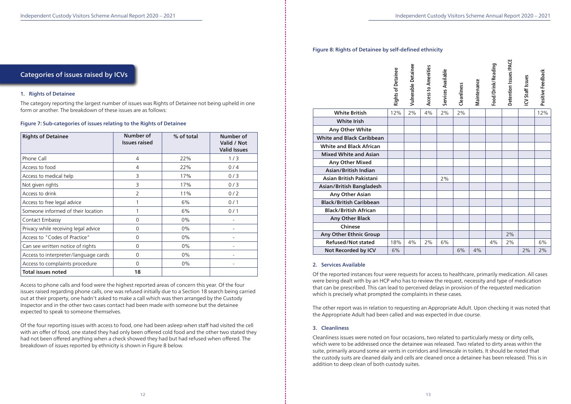## Categories of issues raised by ICVs

#### 1. Rights of Detainee

The category reporting the largest number of issues was Rights of Detainee not being upheld in one form or another. The breakdown of these issues are as follows:

#### Figure 7: Sub-categories of issues relating to the Rights of Detainee

Access to phone calls and food were the highest reported areas of concern this year. Of the four issues raised regarding phone calls, one was refused initially due to a Section 18 search being carried out at their property, one hadn't asked to make a call which was then arranged by the Custody Inspector and in the other two cases contact had been made with someone but the detainee expected to speak to someone themselves.

Of the four reporting issues with access to food, one had been asleep when staff had visited the cell with an offer of food, one stated they had only been offered cold food and the other two stated they had not been offered anything when a check showed they had but had refused when offered. The breakdown of issues reported by ethnicity is shown in Figure 8 below.

#### Figure 8: Rights of Detainee by self-defined ethnicity

#### 2. Services Available

Of the reported instances four were requests for access to healthcare, primarily medication. All cases were being dealt with by an HCP who has to review the request, necessity and type of medication that can be prescribed. This can lead to perceived delays in provision of the requested medication which is precisely what prompted the complaints in these cases.

The other report was in relation to requesting an Appropriate Adult. Upon checking it was noted that the Appropriate Adult had been called and was expected in due course.

#### 3. Cleanliness

Cleanliness issues were noted on four occasions, two related to particularly messy or dirty cells, which were to be addressed once the detainee was released. Two related to dirty areas within the suite, primarily around some air vents in corridors and limescale in toilets. It should be noted that the custody suits are cleaned daily and cells are cleaned once a detainee has been released. This is in addition to deep clean of both custody suites.

|                                  | <b>Rights of Detainee</b> | Vulnerable Detainee | Access to Amenities | Services Available | Cleanliness | Maintenance | Food/Drink/Reading | Detention Issues/PACE | ICV Staff Issues | Positive Feedback |
|----------------------------------|---------------------------|---------------------|---------------------|--------------------|-------------|-------------|--------------------|-----------------------|------------------|-------------------|
| <b>White British</b>             | 12%                       | 2%                  | 4%                  | 2%                 | 2%          |             |                    |                       |                  | 12%               |
| <b>White Irish</b>               |                           |                     |                     |                    |             |             |                    |                       |                  |                   |
| Any Other White                  |                           |                     |                     |                    |             |             |                    |                       |                  |                   |
| <b>White and Black Caribbean</b> |                           |                     |                     |                    |             |             |                    |                       |                  |                   |
| <b>White and Black African</b>   |                           |                     |                     |                    |             |             |                    |                       |                  |                   |
| <b>Mixed White and Asian</b>     |                           |                     |                     |                    |             |             |                    |                       |                  |                   |
| Any Other Mixed                  |                           |                     |                     |                    |             |             |                    |                       |                  |                   |
| Asian/British Indian             |                           |                     |                     |                    |             |             |                    |                       |                  |                   |
| Asian British Pakistani          |                           |                     |                     | 2%                 |             |             |                    |                       |                  |                   |
| Asian/British Bangladesh         |                           |                     |                     |                    |             |             |                    |                       |                  |                   |
| Any Other Asian                  |                           |                     |                     |                    |             |             |                    |                       |                  |                   |
| <b>Black/British Caribbean</b>   |                           |                     |                     |                    |             |             |                    |                       |                  |                   |
| <b>Black/British African</b>     |                           |                     |                     |                    |             |             |                    |                       |                  |                   |
| <b>Any Other Black</b>           |                           |                     |                     |                    |             |             |                    |                       |                  |                   |
| Chinese                          |                           |                     |                     |                    |             |             |                    |                       |                  |                   |
| Any Other Ethnic Group           |                           |                     |                     |                    |             |             |                    | 2%                    |                  |                   |
| Refused/Not stated               | 18%                       | 4%                  | 2%                  | 6%                 |             |             | 4%                 | 2%                    |                  | 6%                |
| Not Recorded by ICV              | 6%                        |                     |                     |                    | 6%          | 4%          |                    |                       | 2%               | 2%                |

| <b>Rights of Detainee</b>            | Number of<br><b>Issues raised</b> | % of total | Number of<br>Valid / Not<br><b>Valid Issues</b> |
|--------------------------------------|-----------------------------------|------------|-------------------------------------------------|
| Phone Call                           | 4                                 | 22%        | 1/3                                             |
| Access to food                       | 4                                 | 22%        | 0/4                                             |
| Access to medical help               | 3                                 | 17%        | 0/3                                             |
| Not given rights                     | 3                                 | 17%        | 0/3                                             |
| Access to drink                      | $\overline{2}$                    | 11%        | 0/2                                             |
| Access to free legal advice          |                                   | 6%         | 0/1                                             |
| Someone informed of their location   |                                   | 6%         | 0/1                                             |
| Contact Embassy                      | $\overline{0}$                    | $0\%$      |                                                 |
| Privacy while receiving legal advice | $\mathbf 0$                       | 0%         |                                                 |
| Access to "Codes of Practice"        | $\mathbf 0$                       | $0\%$      |                                                 |
| Can see written notice of rights     | $\mathbf 0$                       | $0\%$      |                                                 |
| Access to interpreter/language cards | $\overline{0}$                    | $0\%$      |                                                 |
| Access to complaints procedure       | $\overline{0}$                    | $0\%$      |                                                 |
| <b>Total issues noted</b>            | 18                                |            |                                                 |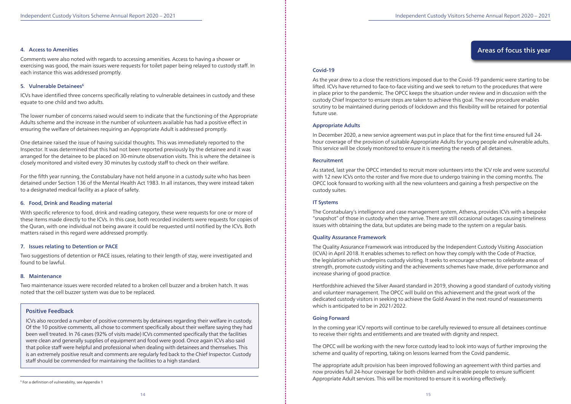#### 4. Access to Amenities

Comments were also noted with regards to accessing amenities. Access to having a shower or exercising was good, the main issues were requests for toilet paper being relayed to custody staff. In each instance this was addressed promptly.

### 5. Vulnerable Detainees<sup>6</sup>

ICVs have identified three concerns specifically relating to vulnerable detainees in custody and these equate to one child and two adults.

The lower number of concerns raised would seem to indicate that the functioning of the Appropriate Adults scheme and the increase in the number of volunteers available has had a positive effect in ensuring the welfare of detainees requiring an Appropriate Adult is addressed promptly.

One detainee raised the issue of having suicidal thoughts. This was immediately reported to the Inspector. It was determined that this had not been reported previously by the detainee and it was arranged for the detainee to be placed on 30-minute observation visits. This is where the detainee is closely monitored and visited every 30 minutes by custody staff to check on their welfare.

For the fifth year running, the Constabulary have not held anyone in a custody suite who has been detained under Section 136 of the Mental Health Act 1983. In all instances, they were instead taken to a designated medical facility as a place of safety.

#### 6. Food, Drink and Reading material

With specific reference to food, drink and reading category, these were requests for one or more of these items made directly to the ICVs. In this case, both recorded incidents were requests for copies of the Quran, with one individual not being aware it could be requested until notified by the ICVs. Both matters raised in this regard were addressed promptly.

#### 7. Issues relating to Detention or PACE

Two suggestions of detention or PACE issues, relating to their length of stay, were investigated and found to be lawful.

### 8. Maintenance

Two maintenance issues were recorded related to a broken cell buzzer and a broken hatch. It was noted that the cell buzzer system was due to be replaced.

### Positive Feedback

ICVs also recorded a number of positive comments by detainees regarding their welfare in custody. Of the 10 positive comments, all chose to comment specifically about their welfare saying they had been well treated. In 76 cases (92% of visits made) ICVs commented specifically that the facilities were clean and generally supplies of equipment and food were good. Once again ICVs also said that police staff were helpful and professional when dealing with detainees and themselves. This is an extremely positive result and comments are regularly fed back to the Chief Inspector. Custody staff should be commended for maintaining the facilities to a high standard.

### Covid-19

As the year drew to a close the restrictions imposed due to the Covid-19 pandemic were starting to be lifted. ICVs have returned to face-to-face visiting and we seek to return to the procedures that were in place prior to the pandemic. The OPCC keeps the situation under review and in discussion with the custody Chief Inspector to ensure steps are taken to achieve this goal. The new procedure enables scrutiny to be maintained during periods of lockdown and this flexibility will be retained for potential future use.

#### Appropriate Adults

In December 2020, a new service agreement was put in place that for the first time ensured full 24 hour coverage of the provision of suitable Appropriate Adults for young people and vulnerable adults. This service will be closely monitored to ensure it is meeting the needs of all detainees.

#### **Recruitment**

As stated, last year the OPCC intended to recruit more volunteers into the ICV role and were successful with 12 new ICVs onto the roster and five more due to undergo training in the coming months. The OPCC look forward to working with all the new volunteers and gaining a fresh perspective on the custody suites.

#### IT Systems

The Constabulary's intelligence and case management system, Athena, provides ICVs with a bespoke "snapshot" of those in custody when they arrive. There are still occasional outages causing timeliness issues with obtaining the data, but updates are being made to the system on a regular basis.

#### Quality Assurance Framework

The Quality Assurance Framework was introduced by the Independent Custody Visiting Association (ICVA) in April 2018. It enables schemes to reflect on how they comply with the Code of Practice, the legislation which underpins custody visiting. It seeks to encourage schemes to celebrate areas of strength, promote custody visiting and the achievements schemes have made, drive performance and increase sharing of good practice.

Hertfordshire achieved the Silver Award standard in 2019, showing a good standard of custody visiting and volunteer management. The OPCC will build on this achievement and the great work of the dedicated custody visitors in seeking to achieve the Gold Award in the next round of reassessments which is anticipated to be in 2021/2022.

#### Going Forward

In the coming year ICV reports will continue to be carefully reviewed to ensure all detainees continue to receive their rights and entitlements and are treated with dignity and respect.

The OPCC will be working with the new force custody lead to look into ways of further improving the scheme and quality of reporting, taking on lessons learned from the Covid pandemic.

The appropriate adult provision has been improved following an agreement with third parties and now provides full 24-hour coverage for both children and vulnerable people to ensure sufficient Appropriate Adult services. This will be monitored to ensure it is working effectively.

Areas of focus this year

#### 6 For a definition of vulnerability, see Appendix 1